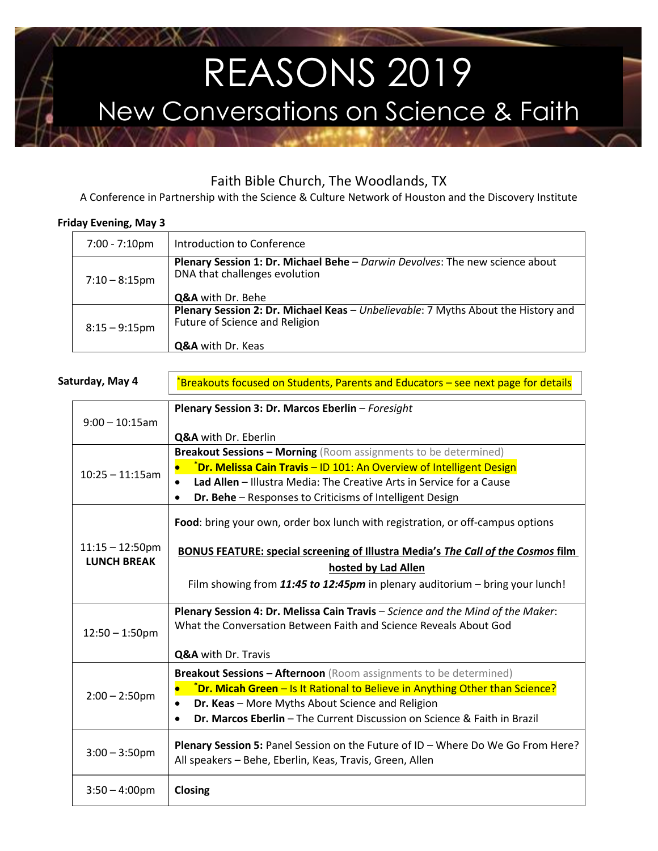# REASONS 2019 New Conversations on Science & Faith

# Faith Bible Church, The Woodlands, TX

A Conference in Partnership with the Science & Culture Network of Houston and the Discovery Institute

### **Friday Evening, May 3**

| 7:00 - 7:10pm    | Introduction to Conference                                                                                                               |
|------------------|------------------------------------------------------------------------------------------------------------------------------------------|
| $7:10 - 8:15$ pm | Plenary Session 1: Dr. Michael Behe - Darwin Devolves: The new science about<br>DNA that challenges evolution<br>Q&A with Dr. Behe       |
| $8:15 - 9:15$ pm | Plenary Session 2: Dr. Michael Keas - Unbelievable: 7 Myths About the History and<br>Future of Science and Religion<br>Q&A with Dr. Keas |

| Saturday, May 4 |                                          | *Breakouts focused on Students, Parents and Educators – see next page for details                                                                                                                                                                                                               |
|-----------------|------------------------------------------|-------------------------------------------------------------------------------------------------------------------------------------------------------------------------------------------------------------------------------------------------------------------------------------------------|
|                 | $9:00 - 10:15$ am                        | Plenary Session 3: Dr. Marcos Eberlin - Foresight<br>Q&A with Dr. Eberlin                                                                                                                                                                                                                       |
|                 | $10:25 - 11:15$ am                       | <b>Breakout Sessions - Morning</b> (Room assignments to be determined)<br>*Dr. Melissa Cain Travis - ID 101: An Overview of Intelligent Design<br>Lad Allen - Illustra Media: The Creative Arts in Service for a Cause<br>Dr. Behe - Responses to Criticisms of Intelligent Design              |
|                 | $11:15 - 12:50$ pm<br><b>LUNCH BREAK</b> | Food: bring your own, order box lunch with registration, or off-campus options<br><b>BONUS FEATURE: special screening of Illustra Media's The Call of the Cosmos film</b><br>hosted by Lad Allen<br>Film showing from 11:45 to 12:45pm in plenary auditorium – bring your lunch!                |
|                 | $12:50 - 1:50$ pm                        | Plenary Session 4: Dr. Melissa Cain Travis - Science and the Mind of the Maker:<br>What the Conversation Between Faith and Science Reveals About God<br>Q&A with Dr. Travis                                                                                                                     |
|                 | $2:00 - 2:50$ pm                         | <b>Breakout Sessions - Afternoon</b> (Room assignments to be determined)<br>*Dr. Micah Green - Is It Rational to Believe in Anything Other than Science?<br>Dr. Keas - More Myths About Science and Religion<br><b>Dr. Marcos Eberlin</b> – The Current Discussion on Science & Faith in Brazil |
|                 | $3:00 - 3:50$ pm                         | Plenary Session 5: Panel Session on the Future of ID - Where Do We Go From Here?<br>All speakers - Behe, Eberlin, Keas, Travis, Green, Allen                                                                                                                                                    |
|                 | $3:50 - 4:00$ pm                         | Closing                                                                                                                                                                                                                                                                                         |